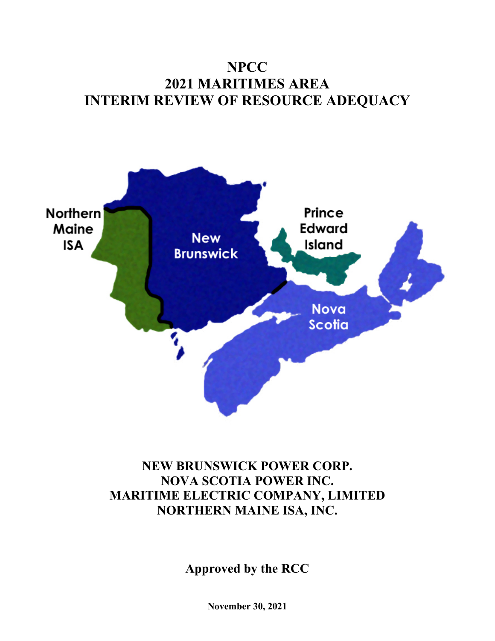# **NPCC 2021 MARITIMES AREA INTERIM REVIEW OF RESOURCE ADEQUACY**



## **NEW BRUNSWICK POWER CORP. NOVA SCOTIA POWER INC. MARITIME ELECTRIC COMPANY, LIMITED NORTHERN MAINE ISA, INC.**

**Approved by the RCC**

**November 30, 2021**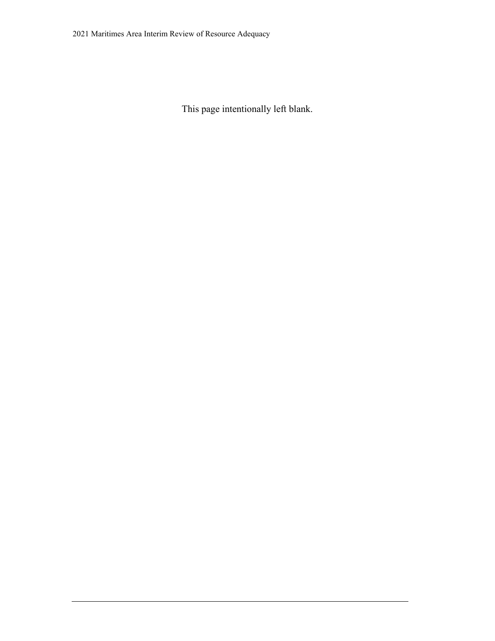This page intentionally left blank.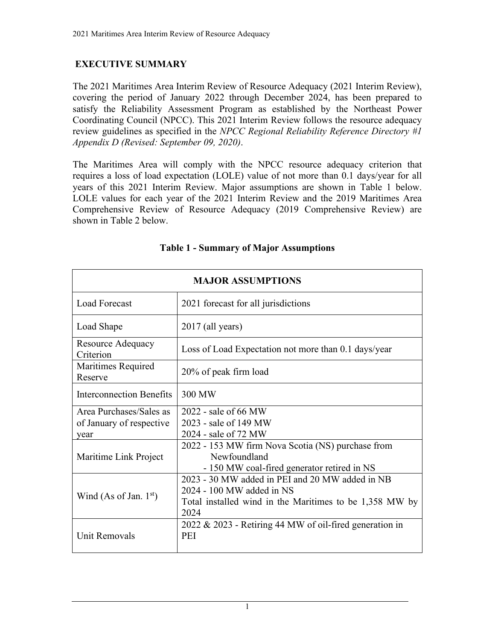#### **EXECUTIVE SUMMARY**

The 2021 Maritimes Area Interim Review of Resource Adequacy (2021 Interim Review), covering the period of January 2022 through December 2024, has been prepared to satisfy the Reliability Assessment Program as established by the Northeast Power Coordinating Council (NPCC). This 2021 Interim Review follows the resource adequacy review guidelines as specified in the *NPCC Regional Reliability Reference Directory #1 Appendix D (Revised: September 09, 2020)*.

The Maritimes Area will comply with the NPCC resource adequacy criterion that requires a loss of load expectation (LOLE) value of not more than 0.1 days/year for all years of this 2021 Interim Review. Major assumptions are shown in Table 1 below. LOLE values for each year of the 2021 Interim Review and the 2019 Maritimes Area Comprehensive Review of Resource Adequacy (2019 Comprehensive Review) are shown in Table 2 below.

| <b>MAJOR ASSUMPTIONS</b>        |                                                         |  |  |  |  |
|---------------------------------|---------------------------------------------------------|--|--|--|--|
| <b>Load Forecast</b>            | 2021 forecast for all jurisdictions                     |  |  |  |  |
| Load Shape                      | $2017$ (all years)                                      |  |  |  |  |
| Resource Adequacy<br>Criterion  | Loss of Load Expectation not more than 0.1 days/year    |  |  |  |  |
| Maritimes Required<br>Reserve   | 20% of peak firm load                                   |  |  |  |  |
| <b>Interconnection Benefits</b> | 300 MW                                                  |  |  |  |  |
| Area Purchases/Sales as         | $2022$ - sale of 66 MW                                  |  |  |  |  |
| of January of respective        | 2023 - sale of 149 MW                                   |  |  |  |  |
| year                            | 2024 - sale of 72 MW                                    |  |  |  |  |
|                                 | 2022 - 153 MW firm Nova Scotia (NS) purchase from       |  |  |  |  |
| Maritime Link Project           | Newfoundland                                            |  |  |  |  |
|                                 | - 150 MW coal-fired generator retired in NS             |  |  |  |  |
|                                 | 2023 - 30 MW added in PEI and 20 MW added in NB         |  |  |  |  |
| Wind (As of Jan. $1st$ )        | 2024 - 100 MW added in NS                               |  |  |  |  |
|                                 | Total installed wind in the Maritimes to be 1,358 MW by |  |  |  |  |
|                                 | 2024                                                    |  |  |  |  |
|                                 | 2022 & 2023 - Retiring 44 MW of oil-fired generation in |  |  |  |  |
| Unit Removals                   | <b>PEI</b>                                              |  |  |  |  |
|                                 |                                                         |  |  |  |  |

#### **Table 1 - Summary of Major Assumptions**

1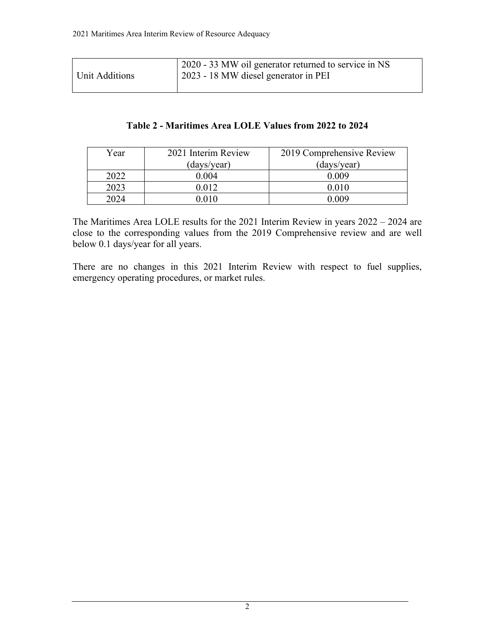|                       | 2020 - 33 MW oil generator returned to service in NS |
|-----------------------|------------------------------------------------------|
| <b>Unit Additions</b> | 2023 - 18 MW diesel generator in PEI                 |

#### **Table 2 - Maritimes Area LOLE Values from 2022 to 2024**

| Year | 2021 Interim Review | 2019 Comprehensive Review |  |  |  |
|------|---------------------|---------------------------|--|--|--|
|      | (days/year)         | (days/year)               |  |  |  |
| 2022 | 0.004               | 0.009                     |  |  |  |
| 2023 | 0.012               | 0.010                     |  |  |  |
| 2024 |                     | ገ በበዓ                     |  |  |  |

The Maritimes Area LOLE results for the 2021 Interim Review in years 2022 – 2024 are close to the corresponding values from the 2019 Comprehensive review and are well below 0.1 days/year for all years.

There are no changes in this 2021 Interim Review with respect to fuel supplies, emergency operating procedures, or market rules.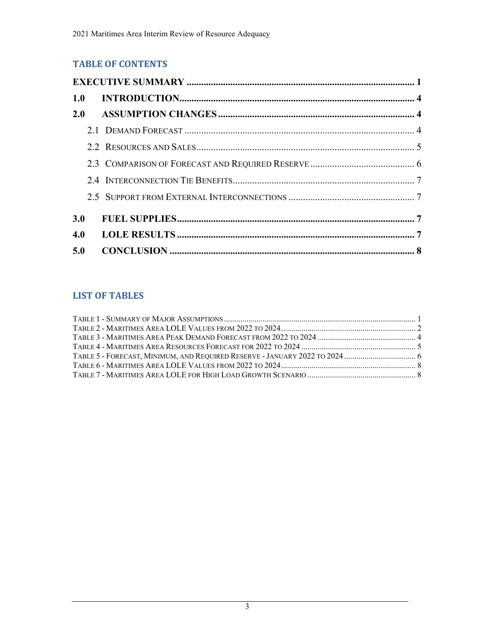### **TABLE OF CONTENTS**

| 3.0 |  |  |
|-----|--|--|
| 4.0 |  |  |
| 5.0 |  |  |

## **LIST OF TABLES**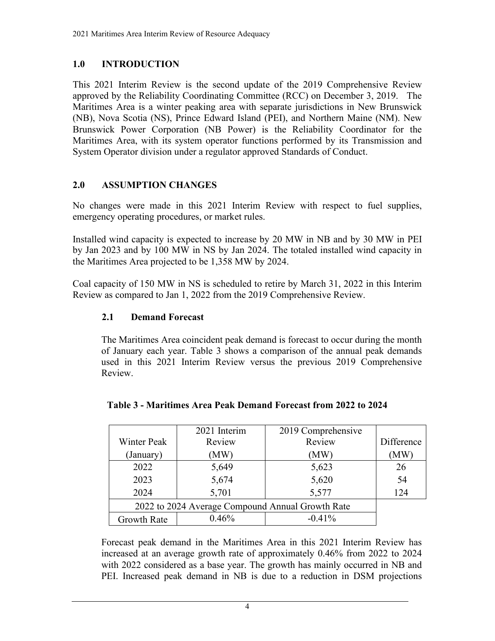#### **1.0 INTRODUCTION**

This 2021 Interim Review is the second update of the 2019 Comprehensive Review approved by the Reliability Coordinating Committee (RCC) on December 3, 2019. The Maritimes Area is a winter peaking area with separate jurisdictions in New Brunswick (NB), Nova Scotia (NS), Prince Edward Island (PEI), and Northern Maine (NM). New Brunswick Power Corporation (NB Power) is the Reliability Coordinator for the Maritimes Area, with its system operator functions performed by its Transmission and System Operator division under a regulator approved Standards of Conduct.

#### **2.0 ASSUMPTION CHANGES**

No changes were made in this 2021 Interim Review with respect to fuel supplies, emergency operating procedures, or market rules.

Installed wind capacity is expected to increase by 20 MW in NB and by 30 MW in PEI by Jan 2023 and by 100 MW in NS by Jan 2024. The totaled installed wind capacity in the Maritimes Area projected to be 1,358 MW by 2024.

Coal capacity of 150 MW in NS is scheduled to retire by March 31, 2022 in this Interim Review as compared to Jan 1, 2022 from the 2019 Comprehensive Review.

#### **2.1 Demand Forecast**

The Maritimes Area coincident peak demand is forecast to occur during the month of January each year. Table 3 shows a comparison of the annual peak demands used in this 2021 Interim Review versus the previous 2019 Comprehensive Review.

|                                                  | 2021 Interim | 2019 Comprehensive |                   |
|--------------------------------------------------|--------------|--------------------|-------------------|
| <b>Winter Peak</b>                               | Review       | Review             | Difference        |
| (January)                                        | (MW)         | (MW                | $\mathop{\rm MW}$ |
| 2022                                             | 5,649        | 5,623              | 26                |
| 2023                                             | 5,674        | 5,620              | 54                |
| 2024                                             | 5,701        | 5,577              | 124               |
| 2022 to 2024 Average Compound Annual Growth Rate |              |                    |                   |
| Growth Rate                                      | 0.46%        | $-0.41%$           |                   |

**Table 3 - Maritimes Area Peak Demand Forecast from 2022 to 2024**

Forecast peak demand in the Maritimes Area in this 2021 Interim Review has increased at an average growth rate of approximately 0.46% from 2022 to 2024 with 2022 considered as a base year. The growth has mainly occurred in NB and PEI. Increased peak demand in NB is due to a reduction in DSM projections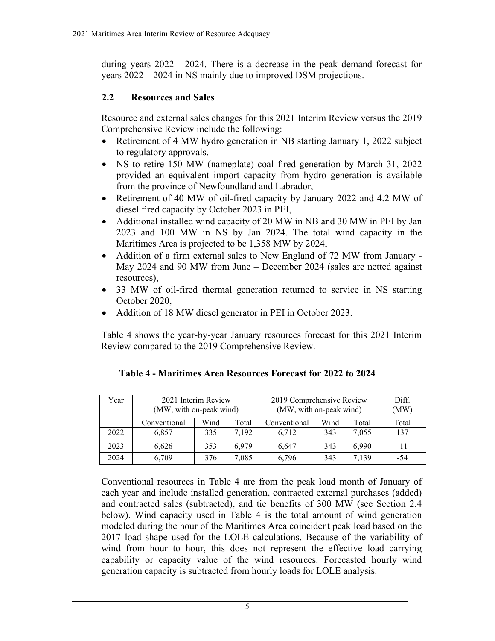during years 2022 - 2024. There is a decrease in the peak demand forecast for years 2022 – 2024 in NS mainly due to improved DSM projections.

#### **2.2 Resources and Sales**

Resource and external sales changes for this 2021 Interim Review versus the 2019 Comprehensive Review include the following:

- Retirement of 4 MW hydro generation in NB starting January 1, 2022 subject to regulatory approvals,
- NS to retire 150 MW (nameplate) coal fired generation by March 31, 2022 provided an equivalent import capacity from hydro generation is available from the province of Newfoundland and Labrador,
- Retirement of 40 MW of oil-fired capacity by January 2022 and 4.2 MW of diesel fired capacity by October 2023 in PEI,
- Additional installed wind capacity of 20 MW in NB and 30 MW in PEI by Jan 2023 and 100 MW in NS by Jan 2024. The total wind capacity in the Maritimes Area is projected to be 1,358 MW by 2024,
- Addition of a firm external sales to New England of 72 MW from January May 2024 and 90 MW from June – December 2024 (sales are netted against resources),
- 33 MW of oil-fired thermal generation returned to service in NS starting October 2020,
- Addition of 18 MW diesel generator in PEI in October 2023.

Table 4 shows the year-by-year January resources forecast for this 2021 Interim Review compared to the 2019 Comprehensive Review.

| Year | 2021 Interim Review<br>(MW, with on-peak wind) |      |       | 2019 Comprehensive Review<br>(MW, with on-peak wind) |               |       | Diff.<br>(MW) |
|------|------------------------------------------------|------|-------|------------------------------------------------------|---------------|-------|---------------|
|      | Conventional                                   | Wind | Total | Conventional                                         | Wind<br>Total |       | Total         |
| 2022 | 6.857                                          | 335  | 7,192 | 6.712                                                | 343           | 7.055 | 137           |
| 2023 | 6.626                                          | 353  | 6.979 | 6,647                                                | 343           | 6,990 | -11           |
| 2024 | 6,709                                          | 376  | 7,085 | 6,796                                                | 343           | 7,139 | $-54$         |

**Table 4 - Maritimes Area Resources Forecast for 2022 to 2024**

Conventional resources in Table 4 are from the peak load month of January of each year and include installed generation, contracted external purchases (added) and contracted sales (subtracted), and tie benefits of 300 MW (see Section 2.4 below). Wind capacity used in Table 4 is the total amount of wind generation modeled during the hour of the Maritimes Area coincident peak load based on the 2017 load shape used for the LOLE calculations. Because of the variability of wind from hour to hour, this does not represent the effective load carrying capability or capacity value of the wind resources. Forecasted hourly wind generation capacity is subtracted from hourly loads for LOLE analysis.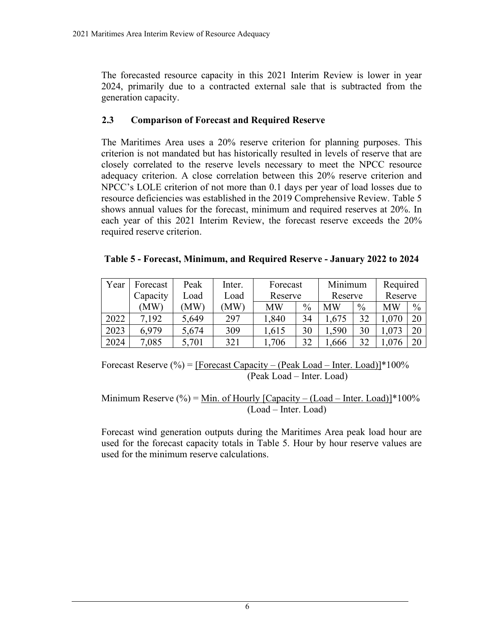The forecasted resource capacity in this 2021 Interim Review is lower in year 2024, primarily due to a contracted external sale that is subtracted from the generation capacity.

#### **2.3 Comparison of Forecast and Required Reserve**

The Maritimes Area uses a 20% reserve criterion for planning purposes. This criterion is not mandated but has historically resulted in levels of reserve that are closely correlated to the reserve levels necessary to meet the NPCC resource adequacy criterion. A close correlation between this 20% reserve criterion and NPCC's LOLE criterion of not more than 0.1 days per year of load losses due to resource deficiencies was established in the 2019 Comprehensive Review. Table 5 shows annual values for the forecast, minimum and required reserves at 20%. In each year of this 2021 Interim Review, the forecast reserve exceeds the 20% required reserve criterion.

**Table 5 - Forecast, Minimum, and Required Reserve - January 2022 to 2024**

| Year | Forecast | Peak  | Inter. | Forecast |               | Minimum |               | Required |               |
|------|----------|-------|--------|----------|---------------|---------|---------------|----------|---------------|
|      | Capacity | Load  | Load   | Reserve  |               | Reserve |               | Reserve  |               |
|      | MW)      | 'MW   | MW)    | МW       | $\frac{0}{0}$ | МW      | $\frac{0}{0}$ | MW       | $\frac{0}{0}$ |
| 2022 | 7,192    | 5,649 | 297    | 1,840    | 34            | 1,675   | 32            | 1.070    | 20            |
| 2023 | 6.979    | 5,674 | 309    | 1,615    | 30            | 1,590   | 30            |          | 20            |
| 2024 | 7,085    | 5,701 | 321    | 1,706    | 32            | .666    | 32            |          | 20            |

Forecast Reserve  $(\% )$  = [Forecast Capacity – (Peak Load – Inter. Load)]\*100% (Peak Load – Inter. Load)

Minimum Reserve  $\left(\frac{9}{0}\right)$  = Min. of Hourly [Capacity – (Load – Inter. Load)]\*100% (Load – Inter. Load)

Forecast wind generation outputs during the Maritimes Area peak load hour are used for the forecast capacity totals in Table 5. Hour by hour reserve values are used for the minimum reserve calculations.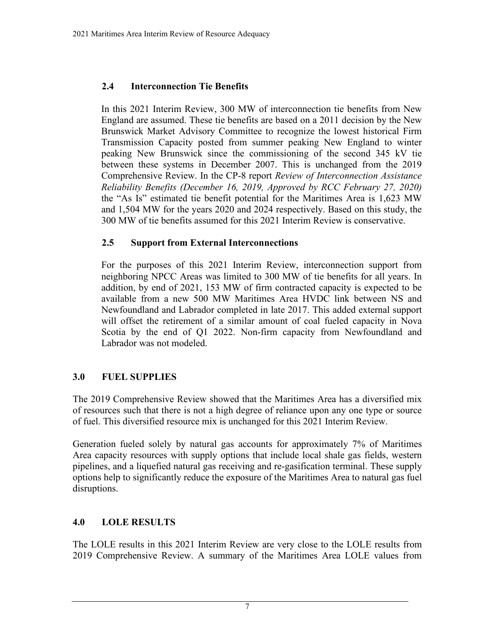#### **2.4 Interconnection Tie Benefits**

In this 2021 Interim Review, 300 MW of interconnection tie benefits from New England are assumed. These tie benefits are based on a 2011 decision by the New Brunswick Market Advisory Committee to recognize the lowest historical Firm Transmission Capacity posted from summer peaking New England to winter peaking New Brunswick since the commissioning of the second 345 kV tie between these systems in December 2007. This is unchanged from the 2019 Comprehensive Review. In the CP-8 report *Review of Interconnection Assistance Reliability Benefits (December 16, 2019, Approved by RCC February 27, 2020)* the "As Is" estimated tie benefit potential for the Maritimes Area is 1,623 MW and 1,504 MW for the years 2020 and 2024 respectively. Based on this study, the 300 MW of tie benefits assumed for this 2021 Interim Review is conservative.

#### **2.5 Support from External Interconnections**

For the purposes of this 2021 Interim Review, interconnection support from neighboring NPCC Areas was limited to 300 MW of tie benefits for all years. In addition, by end of 2021, 153 MW of firm contracted capacity is expected to be available from a new 500 MW Maritimes Area HVDC link between NS and Newfoundland and Labrador completed in late 2017. This added external support will offset the retirement of a similar amount of coal fueled capacity in Nova Scotia by the end of Q1 2022. Non-firm capacity from Newfoundland and Labrador was not modeled.

#### **3.0 FUEL SUPPLIES**

The 2019 Comprehensive Review showed that the Maritimes Area has a diversified mix of resources such that there is not a high degree of reliance upon any one type or source of fuel. This diversified resource mix is unchanged for this 2021 Interim Review.

Generation fueled solely by natural gas accounts for approximately 7% of Maritimes Area capacity resources with supply options that include local shale gas fields, western pipelines, and a liquefied natural gas receiving and re-gasification terminal. These supply options help to significantly reduce the exposure of the Maritimes Area to natural gas fuel disruptions.

#### **4.0 LOLE RESULTS**

The LOLE results in this 2021 Interim Review are very close to the LOLE results from 2019 Comprehensive Review. A summary of the Maritimes Area LOLE values from